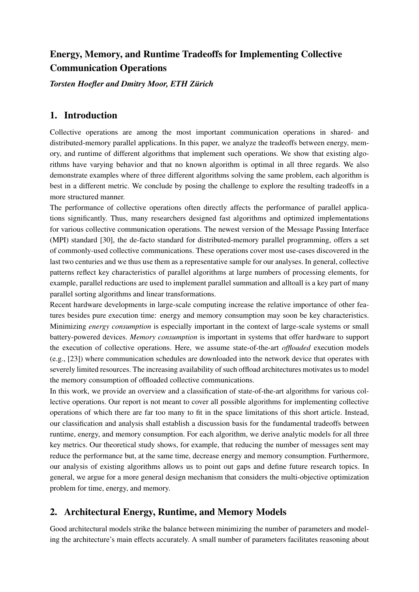# Energy, Memory, and Runtime Tradeoffs for Implementing Collective Communication Operations

*Torsten Hoefler and Dmitry Moor, ETH Zurich ¨*

## 1. Introduction

Collective operations are among the most important communication operations in shared- and distributed-memory parallel applications. In this paper, we analyze the tradeoffs between energy, memory, and runtime of different algorithms that implement such operations. We show that existing algorithms have varying behavior and that no known algorithm is optimal in all three regards. We also demonstrate examples where of three different algorithms solving the same problem, each algorithm is best in a different metric. We conclude by posing the challenge to explore the resulting tradeoffs in a more structured manner.

The performance of collective operations often directly affects the performance of parallel applications significantly. Thus, many researchers designed fast algorithms and optimized implementations for various collective communication operations. The newest version of the Message Passing Interface (MPI) standard [30], the de-facto standard for distributed-memory parallel programming, offers a set of commonly-used collective communications. These operations cover most use-cases discovered in the last two centuries and we thus use them as a representative sample for our analyses. In general, collective patterns reflect key characteristics of parallel algorithms at large numbers of processing elements, for example, parallel reductions are used to implement parallel summation and alltoall is a key part of many parallel sorting algorithms and linear transformations.

Recent hardware developments in large-scale computing increase the relative importance of other features besides pure execution time: energy and memory consumption may soon be key characteristics. Minimizing *energy consumption* is especially important in the context of large-scale systems or small battery-powered devices. *Memory consumption* is important in systems that offer hardware to support the execution of collective operations. Here, we assume state-of-the-art *offloaded* execution models (e.g., [23]) where communication schedules are downloaded into the network device that operates with severely limited resources. The increasing availability of such offload architectures motivates us to model the memory consumption of offloaded collective communications.

In this work, we provide an overview and a classification of state-of-the-art algorithms for various collective operations. Our report is not meant to cover all possible algorithms for implementing collective operations of which there are far too many to fit in the space limitations of this short article. Instead, our classification and analysis shall establish a discussion basis for the fundamental tradeoffs between runtime, energy, and memory consumption. For each algorithm, we derive analytic models for all three key metrics. Our theoretical study shows, for example, that reducing the number of messages sent may reduce the performance but, at the same time, decrease energy and memory consumption. Furthermore, our analysis of existing algorithms allows us to point out gaps and define future research topics. In general, we argue for a more general design mechanism that considers the multi-objective optimization problem for time, energy, and memory.

## 2. Architectural Energy, Runtime, and Memory Models

Good architectural models strike the balance between minimizing the number of parameters and modeling the architecture's main effects accurately. A small number of parameters facilitates reasoning about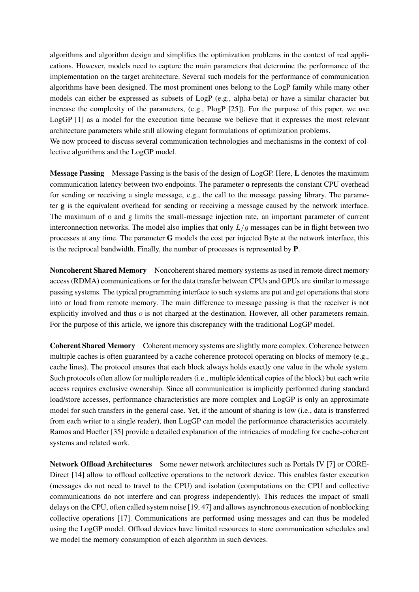algorithms and algorithm design and simplifies the optimization problems in the context of real applications. However, models need to capture the main parameters that determine the performance of the implementation on the target architecture. Several such models for the performance of communication algorithms have been designed. The most prominent ones belong to the LogP family while many other models can either be expressed as subsets of LogP (e.g., alpha-beta) or have a similar character but increase the complexity of the parameters, (e.g., PlogP [25]). For the purpose of this paper, we use LogGP [1] as a model for the execution time because we believe that it expresses the most relevant architecture parameters while still allowing elegant formulations of optimization problems.

We now proceed to discuss several communication technologies and mechanisms in the context of collective algorithms and the LogGP model.

Message Passing Message Passing is the basis of the design of LogGP. Here, L denotes the maximum communication latency between two endpoints. The parameter o represents the constant CPU overhead for sending or receiving a single message, e.g., the call to the message passing library. The parameter g is the equivalent overhead for sending or receiving a message caused by the network interface. The maximum of o and g limits the small-message injection rate, an important parameter of current interconnection networks. The model also implies that only  $L/g$  messages can be in flight between two processes at any time. The parameter G models the cost per injected Byte at the network interface, this is the reciprocal bandwidth. Finally, the number of processes is represented by P.

Noncoherent Shared Memory Noncoherent shared memory systems as used in remote direct memory access (RDMA) communications or for the data transfer between CPUs and GPUs are similar to message passing systems. The typical programming interface to such systems are put and get operations that store into or load from remote memory. The main difference to message passing is that the receiver is not explicitly involved and thus o is not charged at the destination. However, all other parameters remain. For the purpose of this article, we ignore this discrepancy with the traditional LogGP model.

Coherent Shared Memory Coherent memory systems are slightly more complex. Coherence between multiple caches is often guaranteed by a cache coherence protocol operating on blocks of memory (e.g., cache lines). The protocol ensures that each block always holds exactly one value in the whole system. Such protocols often allow for multiple readers (i.e., multiple identical copies of the block) but each write access requires exclusive ownership. Since all communication is implicitly performed during standard load/store accesses, performance characteristics are more complex and LogGP is only an approximate model for such transfers in the general case. Yet, if the amount of sharing is low (i.e., data is transferred from each writer to a single reader), then LogGP can model the performance characteristics accurately. Ramos and Hoefler [35] provide a detailed explanation of the intricacies of modeling for cache-coherent systems and related work.

Network Offload Architectures Some newer network architectures such as Portals IV [7] or CORE-Direct [14] allow to offload collective operations to the network device. This enables faster execution (messages do not need to travel to the CPU) and isolation (computations on the CPU and collective communications do not interfere and can progress independently). This reduces the impact of small delays on the CPU, often called system noise [19, 47] and allows asynchronous execution of nonblocking collective operations [17]. Communications are performed using messages and can thus be modeled using the LogGP model. Offload devices have limited resources to store communication schedules and we model the memory consumption of each algorithm in such devices.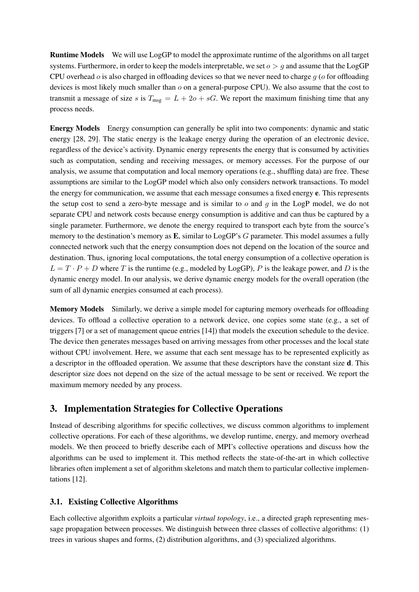Runtime Models We will use LogGP to model the approximate runtime of the algorithms on all target systems. Furthermore, in order to keep the models interpretable, we set  $o > g$  and assume that the LogGP CPU overhead  $\sigma$  is also charged in offloading devices so that we never need to charge  $q$  ( $\sigma$  for offloading devices is most likely much smaller than  $o$  on a general-purpose CPU). We also assume that the cost to transmit a message of size s is  $T_{\text{msg}} = L + 2o + sG$ . We report the maximum finishing time that any process needs.

Energy Models Energy consumption can generally be split into two components: dynamic and static energy [28, 29]. The static energy is the leakage energy during the operation of an electronic device, regardless of the device's activity. Dynamic energy represents the energy that is consumed by activities such as computation, sending and receiving messages, or memory accesses. For the purpose of our analysis, we assume that computation and local memory operations (e.g., shuffling data) are free. These assumptions are similar to the LogGP model which also only considers network transactions. To model the energy for communication, we assume that each message consumes a fixed energy e. This represents the setup cost to send a zero-byte message and is similar to  $o$  and  $q$  in the LogP model, we do not separate CPU and network costs because energy consumption is additive and can thus be captured by a single parameter. Furthermore, we denote the energy required to transport each byte from the source's memory to the destination's memory as **E**, similar to LogGP's G parameter. This model assumes a fully connected network such that the energy consumption does not depend on the location of the source and destination. Thus, ignoring local computations, the total energy consumption of a collective operation is  $L = T \cdot P + D$  where T is the runtime (e.g., modeled by LogGP), P is the leakage power, and D is the dynamic energy model. In our analysis, we derive dynamic energy models for the overall operation (the sum of all dynamic energies consumed at each process).

Memory Models Similarly, we derive a simple model for capturing memory overheads for offloading devices. To offload a collective operation to a network device, one copies some state (e.g., a set of triggers [7] or a set of management queue entries [14]) that models the execution schedule to the device. The device then generates messages based on arriving messages from other processes and the local state without CPU involvement. Here, we assume that each sent message has to be represented explicitly as a descriptor in the offloaded operation. We assume that these descriptors have the constant size d. This descriptor size does not depend on the size of the actual message to be sent or received. We report the maximum memory needed by any process.

### 3. Implementation Strategies for Collective Operations

Instead of describing algorithms for specific collectives, we discuss common algorithms to implement collective operations. For each of these algorithms, we develop runtime, energy, and memory overhead models. We then proceed to briefly describe each of MPI's collective operations and discuss how the algorithms can be used to implement it. This method reflects the state-of-the-art in which collective libraries often implement a set of algorithm skeletons and match them to particular collective implementations [12].

### 3.1. Existing Collective Algorithms

Each collective algorithm exploits a particular *virtual topology*, i.e., a directed graph representing message propagation between processes. We distinguish between three classes of collective algorithms: (1) trees in various shapes and forms, (2) distribution algorithms, and (3) specialized algorithms.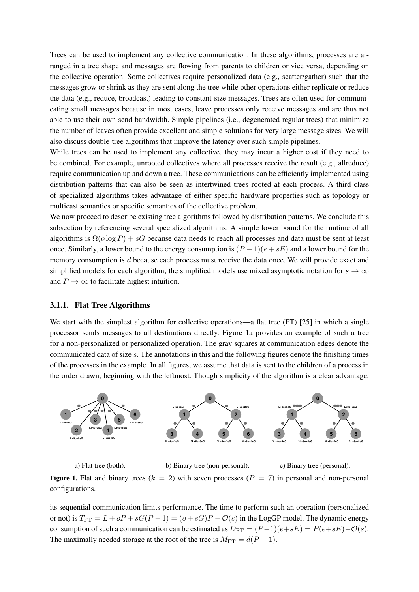Trees can be used to implement any collective communication. In these algorithms, processes are arranged in a tree shape and messages are flowing from parents to children or vice versa, depending on the collective operation. Some collectives require personalized data (e.g., scatter/gather) such that the messages grow or shrink as they are sent along the tree while other operations either replicate or reduce the data (e.g., reduce, broadcast) leading to constant-size messages. Trees are often used for communicating small messages because in most cases, leave processes only receive messages and are thus not able to use their own send bandwidth. Simple pipelines (i.e., degenerated regular trees) that minimize the number of leaves often provide excellent and simple solutions for very large message sizes. We will also discuss double-tree algorithms that improve the latency over such simple pipelines.

While trees can be used to implement any collective, they may incur a higher cost if they need to be combined. For example, unrooted collectives where all processes receive the result (e.g., allreduce) require communication up and down a tree. These communications can be efficiently implemented using distribution patterns that can also be seen as intertwined trees rooted at each process. A third class of specialized algorithms takes advantage of either specific hardware properties such as topology or multicast semantics or specific semantics of the collective problem.

We now proceed to describe existing tree algorithms followed by distribution patterns. We conclude this subsection by referencing several specialized algorithms. A simple lower bound for the runtime of all algorithms is  $\Omega(o \log P) + sG$  because data needs to reach all processes and data must be sent at least once. Similarly, a lower bound to the energy consumption is  $(P-1)(e + sE)$  and a lower bound for the memory consumption is d because each process must receive the data once. We will provide exact and simplified models for each algorithm; the simplified models use mixed asymptotic notation for  $s \to \infty$ and  $P \to \infty$  to facilitate highest intuition.

#### 3.1.1. Flat Tree Algorithms

We start with the simplest algorithm for collective operations—a flat tree (FT) [25] in which a single processor sends messages to all destinations directly. Figure 1a provides an example of such a tree for a non-personalized or personalized operation. The gray squares at communication edges denote the communicated data of size s. The annotations in this and the following figures denote the finishing times of the processes in the example. In all figures, we assume that data is sent to the children of a process in the order drawn, beginning with the leftmost. Though simplicity of the algorithm is a clear advantage,



a) Flat tree (both). b) Binary tree (non-personal). c) Binary tree (personal).

Figure 1. Flat and binary trees  $(k = 2)$  with seven processes  $(P = 7)$  in personal and non-personal configurations.

its sequential communication limits performance. The time to perform such an operation (personalized or not) is  $T_{\text{FT}} = L + oP + sG(P - 1) = (o + sG)P - O(s)$  in the LogGP model. The dynamic energy consumption of such a communication can be estimated as  $D_{\text{FT}} = (P-1)(e+sE) = P(e+sE) - O(s)$ . The maximally needed storage at the root of the tree is  $M_{\text{FT}} = d(P - 1)$ .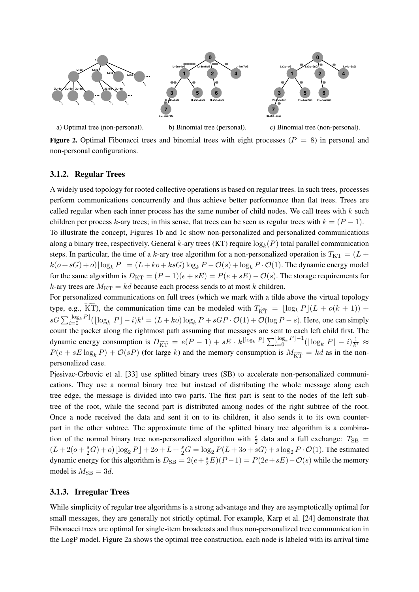



a) Optimal tree (non-personal). b) Binomial tree (personal).

c) Binomial tree (non-personal).

Figure 2. Optimal Fibonacci trees and binomial trees with eight processes ( $P = 8$ ) in personal and non-personal configurations.

**4**

### 3.1.2. Regular Trees

A widely used topology for rooted collective operations is based on regular trees. In such trees, processes perform communications concurrently and thus achieve better performance than flat trees. Trees are called regular when each inner process has the same number of child nodes. We call trees with  $k$  such children per process k-ary trees; in this sense, flat trees can be seen as regular trees with  $k = (P - 1)$ .

To illustrate the concept, Figures 1b and 1c show non-personalized and personalized communications along a binary tree, respectively. General k-ary trees (KT) require  $log_k(P)$  total parallel communication steps. In particular, the time of a k-ary tree algorithm for a non-personalized operation is  $T_{\text{KT}} = (L +$  $k(o + sG) + o||\log_k P = (L + ko + ksG)\log_k P - O(s) + \log_k P \cdot O(1)$ . The dynamic energy model for the same algorithm is  $D_{KT} = (P-1)(e+sE) = P(e+sE) - \mathcal{O}(s)$ . The storage requirements for k-ary trees are  $M_{\text{KT}} = kd$  because each process sends to at most k children.

For personalized communications on full trees (which we mark with a tilde above the virtual topology type, e.g., KT), the communication time can be modeled with  $T_{\widetilde{kT}} = \lfloor \log_k P\rfloor (L + o(k + 1)) +$  $sG\sum_{i=0}^{\lfloor \log_k P\rfloor}(\lfloor \log_k P\rfloor - i)k^i = (L + ko)\log_k P + sGP\cdot \mathcal{O}(1) + \mathcal{O}(\log P - s)$ . Here, one can simply count the packet along the rightmost path assuming that messages are sent to each left child first. The dynamic energy consumption is  $D_{\widetilde{\text{KT}}} = e(P-1) + sE \cdot k^{\lfloor \log_k P \rfloor} \sum_{i=0}^{\lfloor \log_k P \rfloor - 1} (\lfloor \log_k P \rfloor - i) \frac{1}{k}$  $\frac{1}{k^i}$   $\approx$  $P(e + sE \log_k P) + \mathcal{O}(sP)$  (for large k) and the memory consumption is  $M_{\widetilde{kT}} = kd$  as in the nonpersonalized case.

Pjesivac-Grbovic et al. [33] use splitted binary trees (SB) to accelerate non-personalized communications. They use a normal binary tree but instead of distributing the whole message along each tree edge, the message is divided into two parts. The first part is sent to the nodes of the left subtree of the root, while the second part is distributed among nodes of the right subtree of the root. Once a node received the data and sent it on to its children, it also sends it to its own counterpart in the other subtree. The approximate time of the splitted binary tree algorithm is a combination of the normal binary tree non-personalized algorithm with  $\frac{s}{2}$  data and a full exchange:  $T_{\rm SB}$  =  $(L+2(o+\frac{s}{2}G)+o)\lfloor \log_2 P \rfloor+2o+L+\frac{s}{2}G=\log_2 P(L+3o+sG)+s\log_2 P\cdot \mathcal{O}(1).$  The estimated dynamic energy for this algorithm is  $D_{SB} = 2(e + \frac{s}{2}E)(P - 1) = P(2e + sE) - \mathcal{O}(s)$  while the memory model is  $M_{\rm SB} = 3d$ .

#### 3.1.3. Irregular Trees

While simplicity of regular tree algorithms is a strong advantage and they are asymptotically optimal for small messages, they are generally not strictly optimal. For example, Karp et al. [24] demonstrate that Fibonacci trees are optimal for single-item broadcasts and thus non-personalized tree communication in the LogP model. Figure 2a shows the optimal tree construction, each node is labeled with its arrival time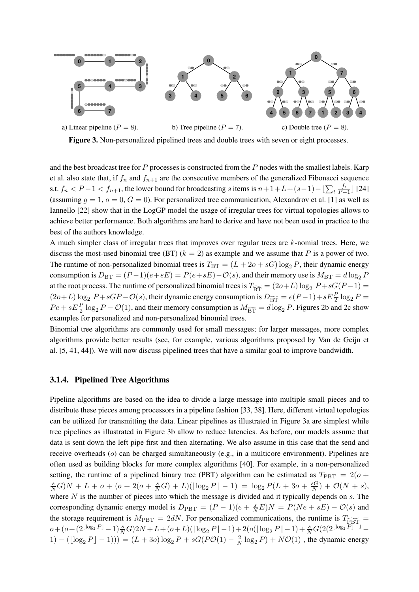

Figure 3. Non-personalized pipelined trees and double trees with seven or eight processes.

and the best broadcast tree for  $P$  processes is constructed from the  $P$  nodes with the smallest labels. Karp et al. also state that, if  $f_n$  and  $f_{n+1}$  are the consecutive members of the generalized Fibonacci sequence s.t.  $f_n < P-1 < f_{n+1}$ , the lower bound for broadcasting s items is  $n+1+L+(s-1)-\lfloor\sum_t \frac{f_t}{P-1}\rfloor$  $\frac{f_t}{P-1}$  [24] (assuming  $g = 1$ ,  $o = 0$ ,  $G = 0$ ). For personalized tree communication, Alexandrov et al. [1] as well as Iannello [22] show that in the LogGP model the usage of irregular trees for virtual topologies allows to achieve better performance. Both algorithms are hard to derive and have not been used in practice to the best of the authors knowledge.

A much simpler class of irregular trees that improves over regular trees are  $k$ -nomial trees. Here, we discuss the most-used binomial tree (BT)  $(k = 2)$  as example and we assume that P is a power of two. The runtime of non-personalized binomial trees is  $T_{BT} = (L + 20 + sG) \log_2 P$ , their dynamic energy consumption is  $D_{BT} = (P-1)(e+sE) = P(e+sE) - O(s)$ , and their memory use is  $M_{BT} = d \log_2 P$ at the root process. The runtime of personalized binomial trees is  $T_{\overline{BT}} = (2o+L) \log_2 P + sG(P-1) =$  $(2o+L)\log_2 P + sGP - \mathcal{O}(s)$ , their dynamic energy consumption is  $D_{\overline{BT}} = e(P-1) + sE\frac{P}{2}\log_2 P =$  $Pe + sE\frac{P}{2}\log_2 P - \mathcal{O}(1)$ , and their memory consumption is  $M_{\overline{BT}} = d\log_2 P$ . Figures 2b and 2c show examples for personalized and non-personalized binomial trees.

Binomial tree algorithms are commonly used for small messages; for larger messages, more complex algorithms provide better results (see, for example, various algorithms proposed by Van de Geijn et al. [5, 41, 44]). We will now discuss pipelined trees that have a similar goal to improve bandwidth.

#### 3.1.4. Pipelined Tree Algorithms

Pipeline algorithms are based on the idea to divide a large message into multiple small pieces and to distribute these pieces among processors in a pipeline fashion [33, 38]. Here, different virtual topologies can be utilized for transmitting the data. Linear pipelines as illustrated in Figure 3a are simplest while tree pipelines as illustrated in Figure 3b allow to reduce latencies. As before, our models assume that data is sent down the left pipe first and then alternating. We also assume in this case that the send and receive overheads (o) can be charged simultaneously (e.g., in a multicore environment). Pipelines are often used as building blocks for more complex algorithms [40]. For example, in a non-personalized setting, the runtime of a pipelined binary tree (PBT) algorithm can be estimated as  $T_{\text{PBT}} = 2(o +$  $\frac{s}{N}G$ ) N + L + o + (o + 2(o +  $\frac{s}{N}G$ ) + L)( $\lfloor \log_2 P \rfloor$  - 1) =  $\log_2 P(L + 3o + \frac{sG}{N})$  $\frac{sG}{N}$ ) +  $\mathcal{O}(N + s)$ , where  $N$  is the number of pieces into which the message is divided and it typically depends on  $s$ . The corresponding dynamic energy model is  $D_{\text{PBT}} = (P-1)(e + \frac{s}{N}E)N = P(Ne + sE) - O(s)$  and the storage requirement is  $M_{\text{PBT}} = 2dN$ . For personalized communications, the runtime is  $T_{\overrightarrow{PRT}} =$  $o + (o + (2^{\lfloor \log_2 P \rfloor} - 1) \frac{s}{N} G) 2N + L + (o + L) (\lfloor \log_2 P \rfloor - 1) + 2(o(\lfloor \log_2 P \rfloor - 1) + \frac{s}{N} G(2(2^{\lfloor \log_2 P \rfloor - 1} -$ 1) –  $(\lfloor \log_2 P \rfloor - 1))$  =  $(L + 3o) \log_2 P + sG(PO(1) - \frac{2}{N})$  $\frac{2}{N} \log_2 P$  +  $N\mathcal{O}(1)$ , the dynamic energy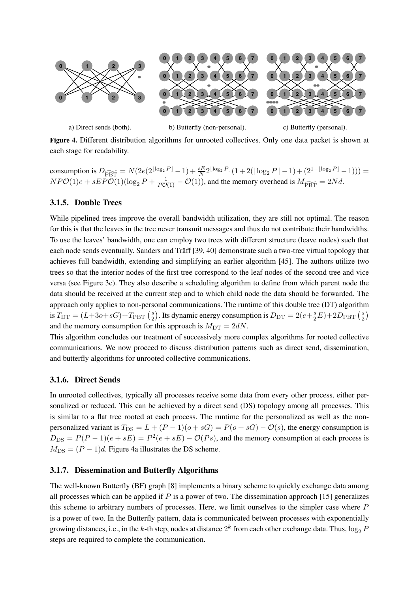

a) Direct sends (both).

b) Butterfly (non-personal).

c) Butterfly (personal).

Figure 4. Different distribution algorithms for unrooted collectives. Only one data packet is shown at each stage for readability.

consumption is  $D_{\widetilde{PBT}} = N(2e(2^{\lfloor \log_2 P \rfloor} - 1) + \frac{sE}{N} 2^{\lfloor \log_2 P \rfloor}(1 + 2(\lfloor \log_2 P \rfloor - 1) + (2^{1 - \lfloor \log_2 P \rfloor} - 1))) =$  $NPO(1)e + sEPO(1)(\log_2 P + \frac{1}{PO(1)} - O(1))$ , and the memory overhead is  $M_{\widetilde{PBT}} = 2Nd$ .

### 3.1.5. Double Trees

While pipelined trees improve the overall bandwidth utilization, they are still not optimal. The reason for this is that the leaves in the tree never transmit messages and thus do not contribute their bandwidths. To use the leaves' bandwidth, one can employ two trees with different structure (leave nodes) such that each node sends eventually. Sanders and Träff [39, 40] demonstrate such a two-tree virtual topology that achieves full bandwidth, extending and simplifying an earlier algorithm [45]. The authors utilize two trees so that the interior nodes of the first tree correspond to the leaf nodes of the second tree and vice versa (see Figure 3c). They also describe a scheduling algorithm to define from which parent node the data should be received at the current step and to which child node the data should be forwarded. The approach only applies to non-personal communications. The runtime of this double tree (DT) algorithm is  $T_{\text{DT}} = (L+3o+sG) + T_{\text{PBT}}\left(\frac{s}{2}\right)$  $\frac{s}{2}$ ). Its dynamic energy consumption is  $D_{\mathrm{DT}} = 2(e + \frac{s}{2}E) + 2D_{\mathrm{PBT}}\left(\frac{s}{2}\right)$  $\frac{s}{2}$ and the memory consumption for this approach is  $M_{\text{DT}} = 2dN$ .

This algorithm concludes our treatment of successively more complex algorithms for rooted collective communications. We now proceed to discuss distribution patterns such as direct send, dissemination, and butterfly algorithms for unrooted collective communications.

#### 3.1.6. Direct Sends

In unrooted collectives, typically all processes receive some data from every other process, either personalized or reduced. This can be achieved by a direct send (DS) topology among all processes. This is similar to a flat tree rooted at each process. The runtime for the personalized as well as the nonpersonalized variant is  $T_{DS} = L + (P - 1)(o + sG) = P(o + sG) - O(s)$ , the energy consumption is  $D_{\text{DS}} = P(P-1)(e + sE) = P^2(e + sE) - \mathcal{O}(Ps)$ , and the memory consumption at each process is  $M_{\text{DS}} = (P - 1)d$ . Figure 4a illustrates the DS scheme.

#### 3.1.7. Dissemination and Butterfly Algorithms

The well-known Butterfly (BF) graph [8] implements a binary scheme to quickly exchange data among all processes which can be applied if  $P$  is a power of two. The dissemination approach [15] generalizes this scheme to arbitrary numbers of processes. Here, we limit ourselves to the simpler case where P is a power of two. In the Butterfly pattern, data is communicated between processes with exponentially growing distances, i.e., in the k-th step, nodes at distance  $2^k$  from each other exchange data. Thus,  $\log_2 F$ steps are required to complete the communication.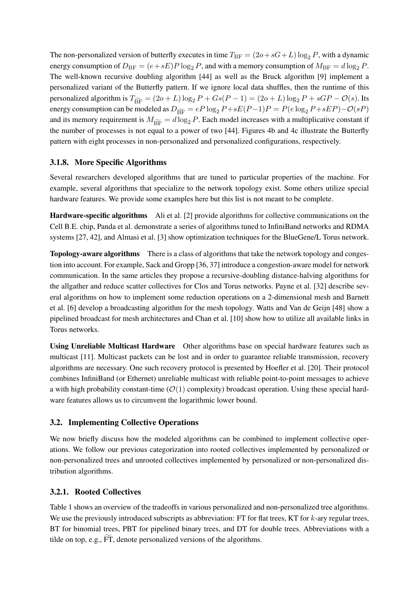The non-personalized version of butterfly executes in time  $T_{BF} = (2o + sG + L) \log_2 P$ , with a dynamic energy consumption of  $D_{\text{BF}} = (e + sE)P \log_2 P$ , and with a memory consumption of  $M_{\text{BF}} = d \log_2 P$ . The well-known recursive doubling algorithm [44] as well as the Bruck algorithm [9] implement a personalized variant of the Butterfly pattern. If we ignore local data shuffles, then the runtime of this personalized algorithm is  $T_{\widetilde{BF}} = (2o + L) \log_2 P + Gs(P - 1) = (2o + L) \log_2 P + sGP - \mathcal{O}(s)$ . Its energy consumption can be modeled as  $D_{\widetilde{BF}} = eP \log_2 P + sE(P-1)P = P(e \log_2 P + sEP) - O(sP)$ and its memory requirement is  $M_{\widetilde{DE}} = d \log_2 P$ . Each model increases with a multiplicative constant if the number of processes is not equal to a power of two [44]. Figures 4b and 4c illustrate the Butterfly pattern with eight processes in non-personalized and personalized configurations, respectively.

### 3.1.8. More Specific Algorithms

Several researchers developed algorithms that are tuned to particular properties of the machine. For example, several algorithms that specialize to the network topology exist. Some others utilize special hardware features. We provide some examples here but this list is not meant to be complete.

Hardware-specific algorithms Ali et al. [2] provide algorithms for collective communications on the Cell B.E. chip, Panda et al. demonstrate a series of algorithms tuned to InfiniBand networks and RDMA systems [27, 42], and Almasi et al. [3] show optimization techniques for the BlueGene/L Torus network.

Topology-aware algorithms There is a class of algorithms that take the network topology and congestion into account. For example, Sack and Gropp [36, 37] introduce a congestion-aware model for network communication. In the same articles they propose a recursive-doubling distance-halving algorithms for the allgather and reduce scatter collectives for Clos and Torus networks. Payne et al. [32] describe several algorithms on how to implement some reduction operations on a 2-dimensional mesh and Barnett et al. [6] develop a broadcasting algorithm for the mesh topology. Watts and Van de Geijn [48] show a pipelined broadcast for mesh architectures and Chan et al. [10] show how to utilize all available links in Torus networks.

Using Unreliable Multicast Hardware Other algorithms base on special hardware features such as multicast [11]. Multicast packets can be lost and in order to guarantee reliable transmission, recovery algorithms are necessary. One such recovery protocol is presented by Hoefler et al. [20]. Their protocol combines InfiniBand (or Ethernet) unreliable multicast with reliable point-to-point messages to achieve a with high probability constant-time  $(\mathcal{O}(1)$  complexity) broadcast operation. Using these special hardware features allows us to circumvent the logarithmic lower bound.

### 3.2. Implementing Collective Operations

We now briefly discuss how the modeled algorithms can be combined to implement collective operations. We follow our previous categorization into rooted collectives implemented by personalized or non-personalized trees and unrooted collectives implemented by personalized or non-personalized distribution algorithms.

### 3.2.1. Rooted Collectives

Table 1 shows an overview of the tradeoffs in various personalized and non-personalized tree algorithms. We use the previously introduced subscripts as abbreviation:  $FT$  for flat trees,  $KT$  for  $k$ -ary regular trees, BT for binomial trees, PBT for pipelined binary trees, and DT for double trees. Abbreviations with a tilde on top, e.g.,  $\widetilde{FT}$ , denote personalized versions of the algorithms.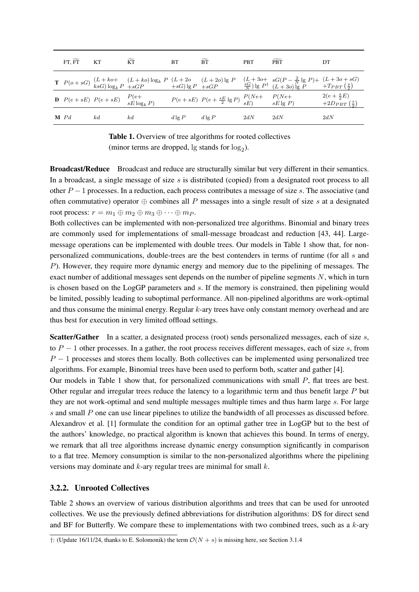| FT, FT          | KT | $\widetilde{\text{KT}}$                                  | <b>BT</b> | $\widetilde{BT}$                                                                                            | <b>PBT</b> | $\widetilde{\text{PBT}}$                                                                                                                                                                                                         | DT                                                          |
|-----------------|----|----------------------------------------------------------|-----------|-------------------------------------------------------------------------------------------------------------|------------|----------------------------------------------------------------------------------------------------------------------------------------------------------------------------------------------------------------------------------|-------------------------------------------------------------|
|                 |    |                                                          |           |                                                                                                             |            | <b>T</b> $P(o+ sG)$ $(L+ k o+ (L+k o) \log_k P (L+2 o- (L+2 o) \log P (L+3 o+ s G (P-\frac{2}{N} \log P)+(L+3 o+ s G)) \log_k P (L+3 o+ s G) \log_k P (L+3 o) \log_k P (L+3 o+ s G) \log_k P (L+3 o+ s G) \log_k P (L+3 o+ s G)$ |                                                             |
|                 |    | <b>D</b> $P(e+sE)$ $P(e+sE)$ $\frac{P(e+}{sE \log_k P)}$ |           | $P(e+sE) P(e+\frac{sE}{2} \lg P) \begin{array}{c} P(Ne+ & P(Ne+\frac{1}{2} \lg P) \\ sE \lg P) \end{array}$ |            |                                                                                                                                                                                                                                  | $2(e + \frac{s}{2}E)$<br>+2D <sub>PBT</sub> $(\frac{s}{2})$ |
| $\mathbf{M}$ Pd | kd | kd                                                       | $d \lg P$ | $d \lg P$                                                                                                   | 2dN        | 2dN                                                                                                                                                                                                                              | 2dN                                                         |

Table 1. Overview of tree algorithms for rooted collectives (minor terms are dropped,  $\lg$  stands for  $\log_2$ ).

Broadcast/Reduce Broadcast and reduce are structurally similar but very different in their semantics. In a broadcast, a single message of size s is distributed (copied) from a designated root process to all other  $P-1$  processes. In a reduction, each process contributes a message of size s. The associative (and often commutative) operator  $\oplus$  combines all P messages into a single result of size s at a designated root process:  $r = m_1 \oplus m_2 \oplus m_3 \oplus \cdots \oplus m_P$ .

Both collectives can be implemented with non-personalized tree algorithms. Binomial and binary trees are commonly used for implementations of small-message broadcast and reduction [43, 44]. Largemessage operations can be implemented with double trees. Our models in Table 1 show that, for nonpersonalized communications, double-trees are the best contenders in terms of runtime (for all s and P). However, they require more dynamic energy and memory due to the pipelining of messages. The exact number of additional messages sent depends on the number of pipeline segments  $N$ , which in turn is chosen based on the LogGP parameters and s. If the memory is constrained, then pipelining would be limited, possibly leading to suboptimal performance. All non-pipelined algorithms are work-optimal and thus consume the minimal energy. Regular  $k$ -ary trees have only constant memory overhead and are thus best for execution in very limited offload settings.

Scatter/Gather In a scatter, a designated process (root) sends personalized messages, each of size s, to  $P - 1$  other processes. In a gather, the root process receives different messages, each of size s, from  $P-1$  processes and stores them locally. Both collectives can be implemented using personalized tree algorithms. For example, Binomial trees have been used to perform both, scatter and gather [4].

Our models in Table 1 show that, for personalized communications with small  $P$ , flat trees are best. Other regular and irregular trees reduce the latency to a logarithmic term and thus benefit large P but they are not work-optimal and send multiple messages multiple times and thus harm large s. For large s and small P one can use linear pipelines to utilize the bandwidth of all processes as discussed before. Alexandrov et al. [1] formulate the condition for an optimal gather tree in LogGP but to the best of the authors' knowledge, no practical algorithm is known that achieves this bound. In terms of energy, we remark that all tree algorithms increase dynamic energy consumption significantly in comparison to a flat tree. Memory consumption is similar to the non-personalized algorithms where the pipelining versions may dominate and  $k$ -ary regular trees are minimal for small  $k$ .

#### 3.2.2. Unrooted Collectives

Table 2 shows an overview of various distribution algorithms and trees that can be used for unrooted collectives. We use the previously defined abbreviations for distribution algorithms: DS for direct send and BF for Butterfly. We compare these to implementations with two combined trees, such as a k-ary

<sup>†: (</sup>Update 16/11/24, thanks to E. Solomonik) the term  $\mathcal{O}(N + s)$  is missing here, see Section 3.1.4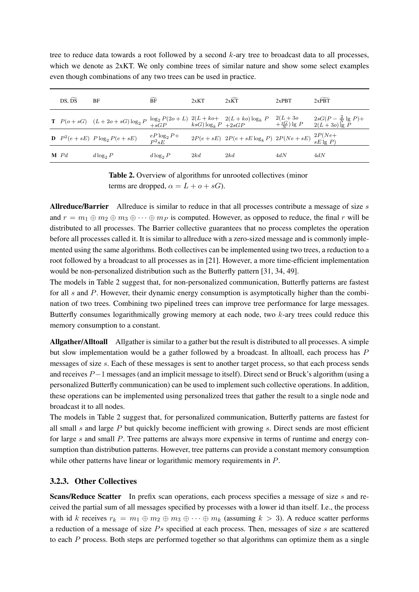| $DS, \widetilde{DS}$ | BF                                                                                                                                                                                                  | $\widetilde{BF}$ | 2xKT | $2x\widetilde{KT}$                                                      | $2x$ PRT | $2x\widetilde{PBT}$ |
|----------------------|-----------------------------------------------------------------------------------------------------------------------------------------------------------------------------------------------------|------------------|------|-------------------------------------------------------------------------|----------|---------------------|
|                      | <b>T</b> $P(o+ sG)$ $(L+2o+sG) \log_2 P \frac{\log_2 P(2o+L)}{sG} \frac{2(L+ k o+2(L+ k o) \log_k P}{k sG) \log_k P} \frac{2(L+3o)}{sG} \frac{2sG(P-\frac{2}{N})}{(L+3o)} \frac{1}{sG} \frac{P}{P}$ |                  |      |                                                                         |          |                     |
|                      | <b>D</b> $P^2(e+sE)$ $P \log_2 P(e+sE)$                                                                                                                                                             | $eP\log_2P+$     |      | $2P(e+sE)$ $2P(e+sE \log_k P)$ $2P(Ne+sE)$ $\frac{2P(Ne+sE)}{sE \lg P}$ |          |                     |
|                      |                                                                                                                                                                                                     |                  |      |                                                                         |          |                     |

tree to reduce data towards a root followed by a second k-ary tree to broadcast data to all processes, which we denote as 2xKT. We only combine trees of similar nature and show some select examples even though combinations of any two trees can be used in practice.

**M** Pd  $d \log_2 P$   $d \log_2 P$  2kd 2kd 4dN 4dN

Allreduce/Barrier Allreduce is similar to reduce in that all processes contribute a message of size s and  $r = m_1 \oplus m_2 \oplus m_3 \oplus \cdots \oplus m_P$  is computed. However, as opposed to reduce, the final r will be distributed to all processes. The Barrier collective guarantees that no process completes the operation before all processes called it. It is similar to allreduce with a zero-sized message and is commonly implemented using the same algorithms. Both collectives can be implemented using two trees, a reduction to a root followed by a broadcast to all processes as in [21]. However, a more time-efficient implementation would be non-personalized distribution such as the Butterfly pattern [31, 34, 49].

The models in Table 2 suggest that, for non-personalized communication, Butterfly patterns are fastest for all  $s$  and  $P$ . However, their dynamic energy consumption is asymptotically higher than the combination of two trees. Combining two pipelined trees can improve tree performance for large messages. Butterfly consumes logarithmically growing memory at each node, two k-ary trees could reduce this memory consumption to a constant.

Allgather/Alltoall Allgather is similar to a gather but the result is distributed to all processes. A simple but slow implementation would be a gather followed by a broadcast. In alltoall, each process has P messages of size s. Each of these messages is sent to another target process, so that each process sends and receives P −1 messages (and an implicit message to itself). Direct send or Bruck's algorithm (using a personalized Butterfly communication) can be used to implement such collective operations. In addition, these operations can be implemented using personalized trees that gather the result to a single node and broadcast it to all nodes.

The models in Table 2 suggest that, for personalized communication, Butterfly patterns are fastest for all small s and large  $P$  but quickly become inefficient with growing s. Direct sends are most efficient for large s and small P. Tree patterns are always more expensive in terms of runtime and energy consumption than distribution patterns. However, tree patterns can provide a constant memory consumption while other patterns have linear or logarithmic memory requirements in  $P$ .

#### 3.2.3. Other Collectives

Scans/Reduce Scatter In prefix scan operations, each process specifies a message of size s and received the partial sum of all messages specified by processes with a lower id than itself. I.e., the process with id k receives  $r_k = m_1 \oplus m_2 \oplus m_3 \oplus \cdots \oplus m_k$  (assuming  $k > 3$ ). A reduce scatter performs a reduction of a message of size  $Ps$  specified at each process. Then, messages of size  $s$  are scattered to each P process. Both steps are performed together so that algorithms can optimize them as a single

Table 2. Overview of algorithms for unrooted collectives (minor terms are dropped,  $\alpha = L + o + sG$ .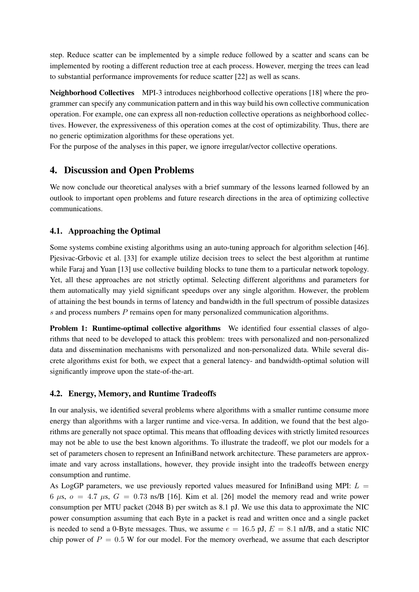step. Reduce scatter can be implemented by a simple reduce followed by a scatter and scans can be implemented by rooting a different reduction tree at each process. However, merging the trees can lead to substantial performance improvements for reduce scatter [22] as well as scans.

Neighborhood Collectives MPI-3 introduces neighborhood collective operations [18] where the programmer can specify any communication pattern and in this way build his own collective communication operation. For example, one can express all non-reduction collective operations as neighborhood collectives. However, the expressiveness of this operation comes at the cost of optimizability. Thus, there are no generic optimization algorithms for these operations yet.

For the purpose of the analyses in this paper, we ignore irregular/vector collective operations.

## 4. Discussion and Open Problems

We now conclude our theoretical analyses with a brief summary of the lessons learned followed by an outlook to important open problems and future research directions in the area of optimizing collective communications.

### 4.1. Approaching the Optimal

Some systems combine existing algorithms using an auto-tuning approach for algorithm selection [46]. Pjesivac-Grbovic et al. [33] for example utilize decision trees to select the best algorithm at runtime while Faraj and Yuan [13] use collective building blocks to tune them to a particular network topology. Yet, all these approaches are not strictly optimal. Selecting different algorithms and parameters for them automatically may yield significant speedups over any single algorithm. However, the problem of attaining the best bounds in terms of latency and bandwidth in the full spectrum of possible datasizes s and process numbers P remains open for many personalized communication algorithms.

Problem 1: Runtime-optimal collective algorithms We identified four essential classes of algorithms that need to be developed to attack this problem: trees with personalized and non-personalized data and dissemination mechanisms with personalized and non-personalized data. While several discrete algorithms exist for both, we expect that a general latency- and bandwidth-optimal solution will significantly improve upon the state-of-the-art.

### 4.2. Energy, Memory, and Runtime Tradeoffs

In our analysis, we identified several problems where algorithms with a smaller runtime consume more energy than algorithms with a larger runtime and vice-versa. In addition, we found that the best algorithms are generally not space optimal. This means that offloading devices with strictly limited resources may not be able to use the best known algorithms. To illustrate the tradeoff, we plot our models for a set of parameters chosen to represent an InfiniBand network architecture. These parameters are approximate and vary across installations, however, they provide insight into the tradeoffs between energy consumption and runtime.

As LogGP parameters, we use previously reported values measured for InfiniBand using MPI:  $L =$ 6  $\mu$ s,  $o = 4.7 \mu$ s,  $G = 0.73 \text{ ns/B}$  [16]. Kim et al. [26] model the memory read and write power consumption per MTU packet (2048 B) per switch as 8.1 pJ. We use this data to approximate the NIC power consumption assuming that each Byte in a packet is read and written once and a single packet is needed to send a 0-Byte messages. Thus, we assume  $e = 16.5$  pJ,  $E = 8.1$  nJ/B, and a static NIC chip power of  $P = 0.5$  W for our model. For the memory overhead, we assume that each descriptor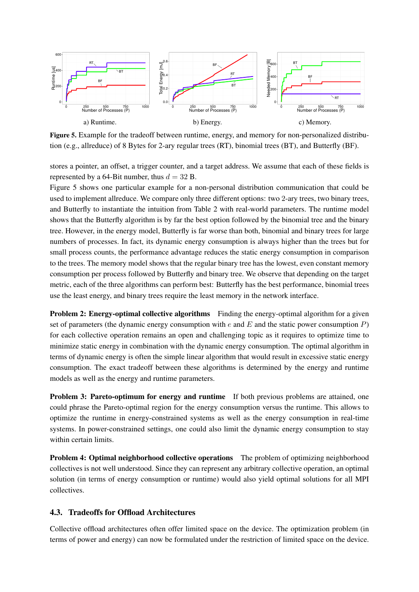

Figure 5. Example for the tradeoff between runtime, energy, and memory for non-personalized distribution (e.g., allreduce) of 8 Bytes for 2-ary regular trees (RT), binomial trees (BT), and Butterfly (BF).

stores a pointer, an offset, a trigger counter, and a target address. We assume that each of these fields is represented by a 64-Bit number, thus  $d = 32$  B.

Figure 5 shows one particular example for a non-personal distribution communication that could be used to implement allreduce. We compare only three different options: two 2-ary trees, two binary trees, and Butterfly to instantiate the intuition from Table 2 with real-world parameters. The runtime model shows that the Butterfly algorithm is by far the best option followed by the binomial tree and the binary tree. However, in the energy model, Butterfly is far worse than both, binomial and binary trees for large numbers of processes. In fact, its dynamic energy consumption is always higher than the trees but for small process counts, the performance advantage reduces the static energy consumption in comparison to the trees. The memory model shows that the regular binary tree has the lowest, even constant memory consumption per process followed by Butterfly and binary tree. We observe that depending on the target metric, each of the three algorithms can perform best: Butterfly has the best performance, binomial trees use the least energy, and binary trees require the least memory in the network interface.

Problem 2: Energy-optimal collective algorithms Finding the energy-optimal algorithm for a given set of parameters (the dynamic energy consumption with  $e$  and  $E$  and the static power consumption  $P$ ) for each collective operation remains an open and challenging topic as it requires to optimize time to minimize static energy in combination with the dynamic energy consumption. The optimal algorithm in terms of dynamic energy is often the simple linear algorithm that would result in excessive static energy consumption. The exact tradeoff between these algorithms is determined by the energy and runtime models as well as the energy and runtime parameters.

Problem 3: Pareto-optimum for energy and runtime If both previous problems are attained, one could phrase the Pareto-optimal region for the energy consumption versus the runtime. This allows to optimize the runtime in energy-constrained systems as well as the energy consumption in real-time systems. In power-constrained settings, one could also limit the dynamic energy consumption to stay within certain limits.

Problem 4: Optimal neighborhood collective operations The problem of optimizing neighborhood collectives is not well understood. Since they can represent any arbitrary collective operation, an optimal solution (in terms of energy consumption or runtime) would also yield optimal solutions for all MPI collectives.

### 4.3. Tradeoffs for Offload Architectures

Collective offload architectures often offer limited space on the device. The optimization problem (in terms of power and energy) can now be formulated under the restriction of limited space on the device.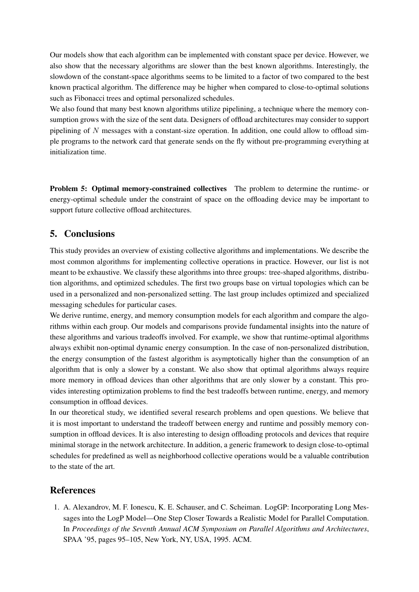Our models show that each algorithm can be implemented with constant space per device. However, we also show that the necessary algorithms are slower than the best known algorithms. Interestingly, the slowdown of the constant-space algorithms seems to be limited to a factor of two compared to the best known practical algorithm. The difference may be higher when compared to close-to-optimal solutions such as Fibonacci trees and optimal personalized schedules.

We also found that many best known algorithms utilize pipelining, a technique where the memory consumption grows with the size of the sent data. Designers of offload architectures may consider to support pipelining of  $N$  messages with a constant-size operation. In addition, one could allow to offload simple programs to the network card that generate sends on the fly without pre-programming everything at initialization time.

Problem 5: Optimal memory-constrained collectives The problem to determine the runtime- or energy-optimal schedule under the constraint of space on the offloading device may be important to support future collective offload architectures.

## 5. Conclusions

This study provides an overview of existing collective algorithms and implementations. We describe the most common algorithms for implementing collective operations in practice. However, our list is not meant to be exhaustive. We classify these algorithms into three groups: tree-shaped algorithms, distribution algorithms, and optimized schedules. The first two groups base on virtual topologies which can be used in a personalized and non-personalized setting. The last group includes optimized and specialized messaging schedules for particular cases.

We derive runtime, energy, and memory consumption models for each algorithm and compare the algorithms within each group. Our models and comparisons provide fundamental insights into the nature of these algorithms and various tradeoffs involved. For example, we show that runtime-optimal algorithms always exhibit non-optimal dynamic energy consumption. In the case of non-personalized distribution, the energy consumption of the fastest algorithm is asymptotically higher than the consumption of an algorithm that is only a slower by a constant. We also show that optimal algorithms always require more memory in offload devices than other algorithms that are only slower by a constant. This provides interesting optimization problems to find the best tradeoffs between runtime, energy, and memory consumption in offload devices.

In our theoretical study, we identified several research problems and open questions. We believe that it is most important to understand the tradeoff between energy and runtime and possibly memory consumption in offload devices. It is also interesting to design offloading protocols and devices that require minimal storage in the network architecture. In addition, a generic framework to design close-to-optimal schedules for predefined as well as neighborhood collective operations would be a valuable contribution to the state of the art.

### References

1. A. Alexandrov, M. F. Ionescu, K. E. Schauser, and C. Scheiman. LogGP: Incorporating Long Messages into the LogP Model—One Step Closer Towards a Realistic Model for Parallel Computation. In *Proceedings of the Seventh Annual ACM Symposium on Parallel Algorithms and Architectures*, SPAA '95, pages 95–105, New York, NY, USA, 1995. ACM.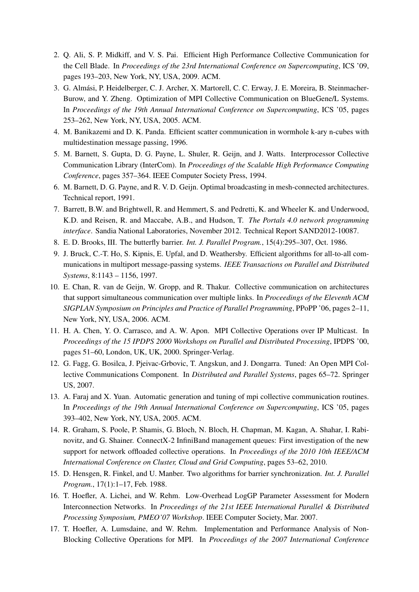- 2. Q. Ali, S. P. Midkiff, and V. S. Pai. Efficient High Performance Collective Communication for the Cell Blade. In *Proceedings of the 23rd International Conference on Supercomputing*, ICS '09, pages 193–203, New York, NY, USA, 2009. ACM.
- 3. G. Almasi, P. Heidelberger, C. J. Archer, X. Martorell, C. C. Erway, J. E. Moreira, B. Steinmacher- ´ Burow, and Y. Zheng. Optimization of MPI Collective Communication on BlueGene/L Systems. In *Proceedings of the 19th Annual International Conference on Supercomputing*, ICS '05, pages 253–262, New York, NY, USA, 2005. ACM.
- 4. M. Banikazemi and D. K. Panda. Efficient scatter communication in wormhole k-ary n-cubes with multidestination message passing, 1996.
- 5. M. Barnett, S. Gupta, D. G. Payne, L. Shuler, R. Geijn, and J. Watts. Interprocessor Collective Communication Library (InterCom). In *Proceedings of the Scalable High Performance Computing Conference*, pages 357–364. IEEE Computer Society Press, 1994.
- 6. M. Barnett, D. G. Payne, and R. V. D. Geijn. Optimal broadcasting in mesh-connected architectures. Technical report, 1991.
- 7. Barrett, B.W. and Brightwell, R. and Hemmert, S. and Pedretti, K. and Wheeler K. and Underwood, K.D. and Reisen, R. and Maccabe, A.B., and Hudson, T. *The Portals 4.0 network programming interface*. Sandia National Laboratories, November 2012. Technical Report SAND2012-10087.
- 8. E. D. Brooks, III. The butterfly barrier. *Int. J. Parallel Program.*, 15(4):295–307, Oct. 1986.
- 9. J. Bruck, C.-T. Ho, S. Kipnis, E. Upfal, and D. Weathersby. Efficient algorithms for all-to-all communications in multiport message-passing systems. *IEEE Transactions on Parallel and Distributed Systems*, 8:1143 – 1156, 1997.
- 10. E. Chan, R. van de Geijn, W. Gropp, and R. Thakur. Collective communication on architectures that support simultaneous communication over multiple links. In *Proceedings of the Eleventh ACM SIGPLAN Symposium on Principles and Practice of Parallel Programming*, PPoPP '06, pages 2–11, New York, NY, USA, 2006. ACM.
- 11. H. A. Chen, Y. O. Carrasco, and A. W. Apon. MPI Collective Operations over IP Multicast. In *Proceedings of the 15 IPDPS 2000 Workshops on Parallel and Distributed Processing*, IPDPS '00, pages 51–60, London, UK, UK, 2000. Springer-Verlag.
- 12. G. Fagg, G. Bosilca, J. Pjeivac-Grbovic, T. Angskun, and J. Dongarra. Tuned: An Open MPI Collective Communications Component. In *Distributed and Parallel Systems*, pages 65–72. Springer US, 2007.
- 13. A. Faraj and X. Yuan. Automatic generation and tuning of mpi collective communication routines. In *Proceedings of the 19th Annual International Conference on Supercomputing*, ICS '05, pages 393–402, New York, NY, USA, 2005. ACM.
- 14. R. Graham, S. Poole, P. Shamis, G. Bloch, N. Bloch, H. Chapman, M. Kagan, A. Shahar, I. Rabinovitz, and G. Shainer. ConnectX-2 InfiniBand management queues: First investigation of the new support for network offloaded collective operations. In *Proceedings of the 2010 10th IEEE/ACM International Conference on Cluster, Cloud and Grid Computing*, pages 53–62, 2010.
- 15. D. Hensgen, R. Finkel, and U. Manber. Two algorithms for barrier synchronization. *Int. J. Parallel Program.*, 17(1):1–17, Feb. 1988.
- 16. T. Hoefler, A. Lichei, and W. Rehm. Low-Overhead LogGP Parameter Assessment for Modern Interconnection Networks. In *Proceedings of the 21st IEEE International Parallel & Distributed Processing Symposium, PMEO'07 Workshop*. IEEE Computer Society, Mar. 2007.
- 17. T. Hoefler, A. Lumsdaine, and W. Rehm. Implementation and Performance Analysis of Non-Blocking Collective Operations for MPI. In *Proceedings of the 2007 International Conference*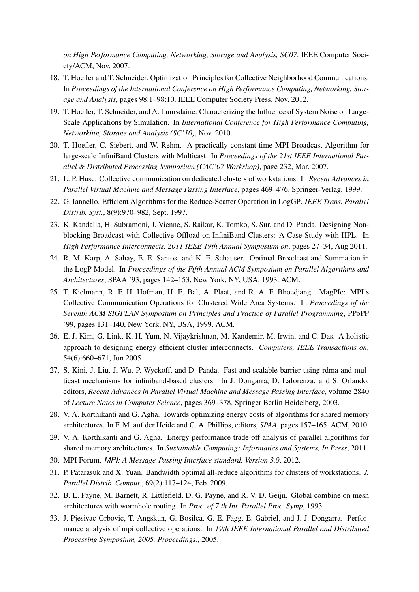*on High Performance Computing, Networking, Storage and Analysis, SC07*. IEEE Computer Society/ACM, Nov. 2007.

- 18. T. Hoefler and T. Schneider. Optimization Principles for Collective Neighborhood Communications. In *Proceedings of the International Conference on High Performance Computing, Networking, Storage and Analysis*, pages 98:1–98:10. IEEE Computer Society Press, Nov. 2012.
- 19. T. Hoefler, T. Schneider, and A. Lumsdaine. Characterizing the Influence of System Noise on Large-Scale Applications by Simulation. In *International Conference for High Performance Computing, Networking, Storage and Analysis (SC'10)*, Nov. 2010.
- 20. T. Hoefler, C. Siebert, and W. Rehm. A practically constant-time MPI Broadcast Algorithm for large-scale InfiniBand Clusters with Multicast. In *Proceedings of the 21st IEEE International Parallel & Distributed Processing Symposium (CAC'07 Workshop)*, page 232, Mar. 2007.
- 21. L. P. Huse. Collective communication on dedicated clusters of workstations. In *Recent Advances in Parallel Virtual Machine and Message Passing Interface*, pages 469–476. Springer-Verlag, 1999.
- 22. G. Iannello. Efficient Algorithms for the Reduce-Scatter Operation in LogGP. *IEEE Trans. Parallel Distrib. Syst.*, 8(9):970–982, Sept. 1997.
- 23. K. Kandalla, H. Subramoni, J. Vienne, S. Raikar, K. Tomko, S. Sur, and D. Panda. Designing Nonblocking Broadcast with Collective Offload on InfiniBand Clusters: A Case Study with HPL. In *High Performance Interconnects, 2011 IEEE 19th Annual Symposium on*, pages 27–34, Aug 2011.
- 24. R. M. Karp, A. Sahay, E. E. Santos, and K. E. Schauser. Optimal Broadcast and Summation in the LogP Model. In *Proceedings of the Fifth Annual ACM Symposium on Parallel Algorithms and Architectures*, SPAA '93, pages 142–153, New York, NY, USA, 1993. ACM.
- 25. T. Kielmann, R. F. H. Hofman, H. E. Bal, A. Plaat, and R. A. F. Bhoedjang. MagPIe: MPI's Collective Communication Operations for Clustered Wide Area Systems. In *Proceedings of the Seventh ACM SIGPLAN Symposium on Principles and Practice of Parallel Programming*, PPoPP '99, pages 131–140, New York, NY, USA, 1999. ACM.
- 26. E. J. Kim, G. Link, K. H. Yum, N. Vijaykrishnan, M. Kandemir, M. Irwin, and C. Das. A holistic approach to designing energy-efficient cluster interconnects. *Computers, IEEE Transactions on*, 54(6):660–671, Jun 2005.
- 27. S. Kini, J. Liu, J. Wu, P. Wyckoff, and D. Panda. Fast and scalable barrier using rdma and multicast mechanisms for infiniband-based clusters. In J. Dongarra, D. Laforenza, and S. Orlando, editors, *Recent Advances in Parallel Virtual Machine and Message Passing Interface*, volume 2840 of *Lecture Notes in Computer Science*, pages 369–378. Springer Berlin Heidelberg, 2003.
- 28. V. A. Korthikanti and G. Agha. Towards optimizing energy costs of algorithms for shared memory architectures. In F. M. auf der Heide and C. A. Phillips, editors, *SPAA*, pages 157–165. ACM, 2010.
- 29. V. A. Korthikanti and G. Agha. Energy-performance trade-off analysis of parallel algorithms for shared memory architectures. In *Sustainable Computing: Informatics and Systems, In Press*, 2011.
- 30. MPI Forum. *MPI: A Message-Passing Interface standard. Version 3.0*, 2012.
- 31. P. Patarasuk and X. Yuan. Bandwidth optimal all-reduce algorithms for clusters of workstations. *J. Parallel Distrib. Comput.*, 69(2):117–124, Feb. 2009.
- 32. B. L. Payne, M. Barnett, R. Littlefield, D. G. Payne, and R. V. D. Geijn. Global combine on mesh architectures with wormhole routing. In *Proc. of 7 th Int. Parallel Proc. Symp*, 1993.
- 33. J. Pjesivac-Grbovic, T. Angskun, G. Bosilca, G. E. Fagg, E. Gabriel, and J. J. Dongarra. Performance analysis of mpi collective operations. In *19th IEEE International Parallel and Distributed Processing Symposium, 2005. Proceedings.*, 2005.